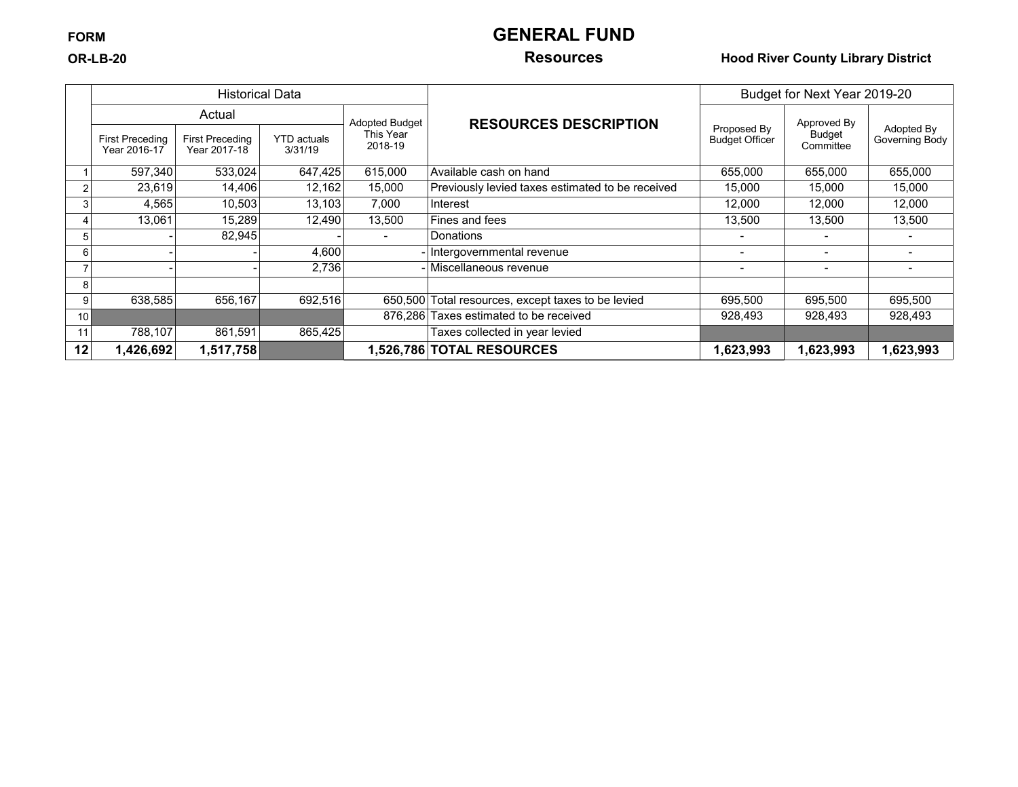## **FORM GENERAL FUND**

### **OR-LB-20 Resources Hood River County Library District**

|    |                                 | <b>Historical Data</b>                 |                               |                       |                                                    |                                      | Budget for Next Year 2019-20 |                              |
|----|---------------------------------|----------------------------------------|-------------------------------|-----------------------|----------------------------------------------------|--------------------------------------|------------------------------|------------------------------|
|    |                                 | Actual                                 |                               | <b>Adopted Budget</b> | <b>RESOURCES DESCRIPTION</b>                       |                                      | Approved By                  | Adopted By<br>Governing Body |
|    | First Preceding<br>Year 2016-17 | <b>First Preceding</b><br>Year 2017-18 | <b>YTD</b> actuals<br>3/31/19 | This Year<br>2018-19  |                                                    | Proposed By<br><b>Budget Officer</b> | Budget<br>Committee          |                              |
|    | 597,340                         | 533.024                                | 647,425                       | 615,000               | Available cash on hand                             | 655,000                              | 655,000                      | 655,000                      |
|    | 23,619                          | 14,406                                 | 12,162                        | 15,000                | Previously levied taxes estimated to be received   | 15,000                               | 15,000                       | 15,000                       |
|    | 4,565                           | 10,503                                 | 13,103                        | 7,000                 | Interest                                           | 12,000                               | 12,000                       | 12,000                       |
| 4  | 13,061                          | 15,289                                 | 12,490                        | 13,500                | Fines and fees                                     | 13,500                               | 13,500                       | 13,500                       |
| 5  |                                 | 82,945                                 |                               |                       | Donations                                          |                                      | $\,$                         |                              |
| 6  |                                 |                                        | 4,600                         |                       | - Intergovernmental revenue                        | $\overline{\phantom{0}}$             | -                            | $\overline{\phantom{0}}$     |
|    |                                 |                                        | 2,736                         |                       | - Miscellaneous revenue                            |                                      | $\overline{\phantom{0}}$     |                              |
| 8  |                                 |                                        |                               |                       |                                                    |                                      |                              |                              |
| 9  | 638,585                         | 656,167                                | 692,516                       |                       | 650,500 Total resources, except taxes to be levied | 695,500                              | 695,500                      | 695,500                      |
| 10 |                                 |                                        |                               |                       | 876,286 Taxes estimated to be received             | 928,493                              | 928,493                      | 928,493                      |
| 11 | 788,107                         | 861.591                                | 865,425                       |                       | Taxes collected in year levied                     |                                      |                              |                              |
| 12 | 1,426,692                       | 1,517,758                              |                               |                       | 1,526,786 TOTAL RESOURCES                          | 1,623,993                            | 1,623,993                    | 1,623,993                    |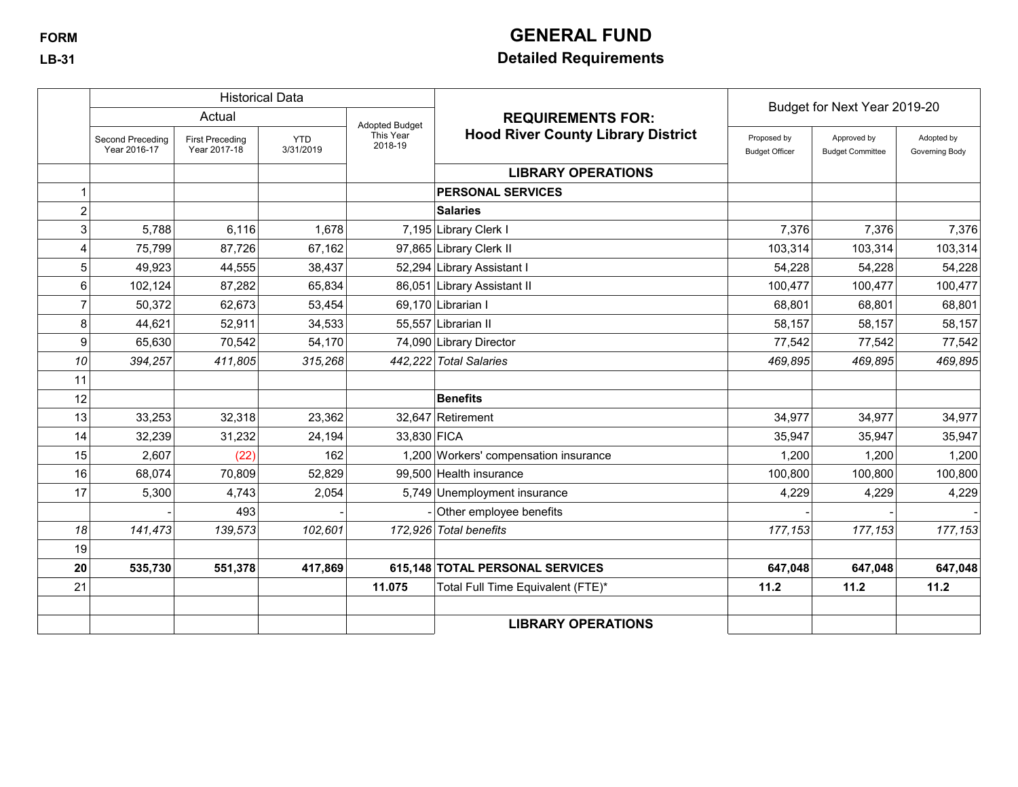# **FORM GENERAL FUND**

## **LB-31 Detailed Requirements**

|                |                                  |                                        | <b>Historical Data</b>  |                       |                                           | Budget for Next Year 2019-20         |                                        |                              |
|----------------|----------------------------------|----------------------------------------|-------------------------|-----------------------|-------------------------------------------|--------------------------------------|----------------------------------------|------------------------------|
|                |                                  | Actual                                 |                         | <b>Adopted Budget</b> | <b>REQUIREMENTS FOR:</b>                  |                                      |                                        |                              |
|                | Second Preceding<br>Year 2016-17 | <b>First Preceding</b><br>Year 2017-18 | <b>YTD</b><br>3/31/2019 | This Year<br>2018-19  | <b>Hood River County Library District</b> | Proposed by<br><b>Budget Officer</b> | Approved by<br><b>Budget Committee</b> | Adopted by<br>Governing Body |
|                |                                  |                                        |                         |                       | <b>LIBRARY OPERATIONS</b>                 |                                      |                                        |                              |
|                |                                  |                                        |                         |                       | <b>PERSONAL SERVICES</b>                  |                                      |                                        |                              |
| $\overline{c}$ |                                  |                                        |                         |                       | <b>Salaries</b>                           |                                      |                                        |                              |
| 3              | 5,788                            | 6,116                                  | 1,678                   |                       | 7,195 Library Clerk I                     | 7,376                                | 7,376                                  | 7,376                        |
| 4              | 75,799                           | 87,726                                 | 67,162                  |                       | 97,865 Library Clerk II                   | 103,314                              | 103,314                                | 103,314                      |
| 5              | 49,923                           | 44,555                                 | 38,437                  |                       | 52,294 Library Assistant I                | 54,228                               | 54,228                                 | 54,228                       |
| 6              | 102,124                          | 87,282                                 | 65,834                  |                       | 86,051 Library Assistant II               | 100,477                              | 100,477                                | 100,477                      |
| $\overline{7}$ | 50,372                           | 62,673                                 | 53,454                  |                       | 69,170 Librarian I                        | 68,801                               | 68,801                                 | 68,801                       |
| 8              | 44,621                           | 52,911                                 | 34,533                  |                       | 55,557 Librarian II                       | 58,157                               | 58,157                                 | 58,157                       |
| 9              | 65,630                           | 70,542                                 | 54,170                  |                       | 74,090 Library Director                   | 77,542                               | 77,542                                 | 77,542                       |
| 10             | 394,257                          | 411,805                                | 315,268                 |                       | 442,222 Total Salaries                    | 469,895                              | 469,895                                | 469,895                      |
| 11             |                                  |                                        |                         |                       |                                           |                                      |                                        |                              |
| 12             |                                  |                                        |                         |                       | <b>Benefits</b>                           |                                      |                                        |                              |
| 13             | 33,253                           | 32,318                                 | 23,362                  |                       | 32,647 Retirement                         | 34,977                               | 34,977                                 | 34,977                       |
| 14             | 32,239                           | 31,232                                 | 24,194                  | 33,830 FICA           |                                           | 35,947                               | 35.947                                 | 35,947                       |
| 15             | 2,607                            | (22)                                   | 162                     |                       | 1,200 Workers' compensation insurance     | 1,200                                | 1,200                                  | 1,200                        |
| 16             | 68,074                           | 70,809                                 | 52,829                  |                       | 99.500 Health insurance                   | 100,800                              | 100,800                                | 100,800                      |
| 17             | 5,300                            | 4,743                                  | 2,054                   |                       | 5,749 Unemployment insurance              | 4,229                                | 4,229                                  | 4,229                        |
|                |                                  | 493                                    |                         |                       | Other employee benefits                   |                                      |                                        |                              |
| 18             | 141,473                          | 139,573                                | 102,601                 |                       | 172,926 Total benefits                    | 177,153                              | 177,153                                | 177,153                      |
| 19             |                                  |                                        |                         |                       |                                           |                                      |                                        |                              |
| 20             | 535,730                          | 551,378                                | 417,869                 |                       | 615,148 TOTAL PERSONAL SERVICES           | 647,048                              | 647,048                                | 647,048                      |
| 21             |                                  |                                        |                         | 11.075                | Total Full Time Equivalent (FTE)*         | 11.2                                 | 11.2                                   | 11.2                         |
|                |                                  |                                        |                         |                       |                                           |                                      |                                        |                              |
|                |                                  |                                        |                         |                       | <b>LIBRARY OPERATIONS</b>                 |                                      |                                        |                              |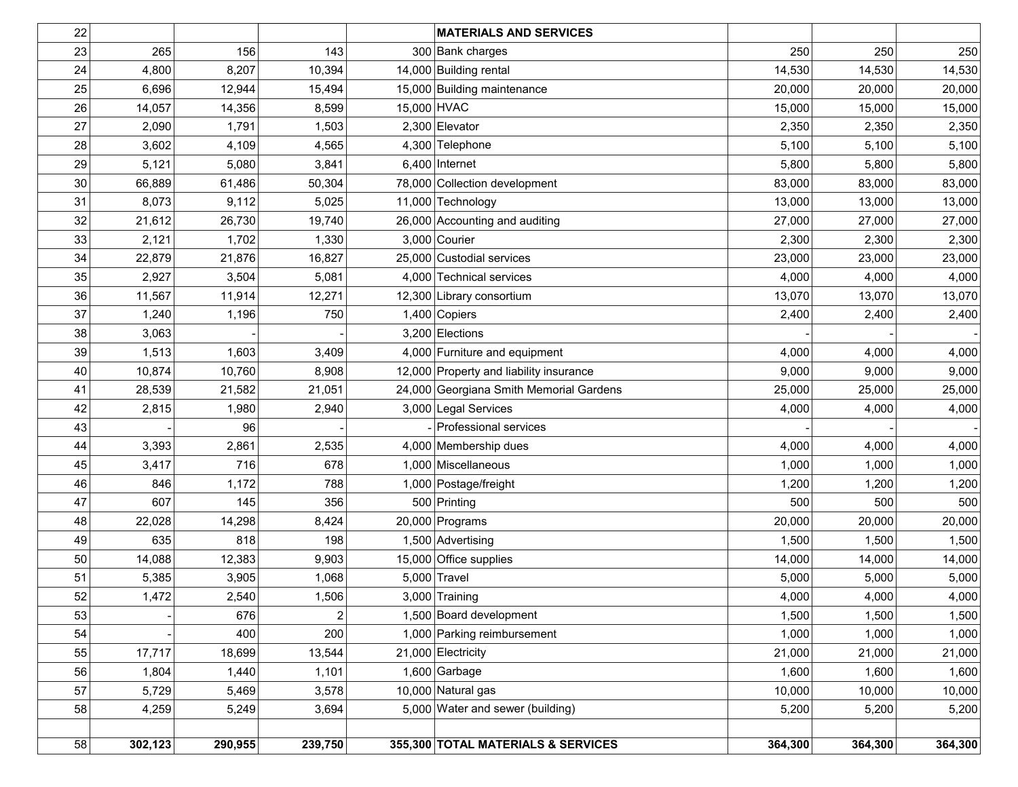| 22 |         |         |                | <b>MATERIALS AND SERVICES</b>           |         |         |         |
|----|---------|---------|----------------|-----------------------------------------|---------|---------|---------|
| 23 | 265     | 156     | 143            | 300 Bank charges                        | 250     | 250     | 250     |
| 24 | 4,800   | 8,207   | 10,394         | 14,000 Building rental                  | 14,530  | 14,530  | 14,530  |
| 25 | 6,696   | 12,944  | 15,494         | 15,000 Building maintenance             | 20,000  | 20,000  | 20,000  |
| 26 | 14,057  | 14,356  | 8,599          | 15,000 HVAC                             | 15,000  | 15,000  | 15,000  |
| 27 | 2,090   | 1,791   | 1,503          | 2,300 Elevator                          | 2,350   | 2,350   | 2,350   |
| 28 | 3,602   | 4,109   | 4,565          | 4,300 Telephone                         | 5,100   | 5,100   | 5,100   |
| 29 | 5,121   | 5,080   | 3,841          | $6,400$ Internet                        | 5,800   | 5,800   | 5,800   |
| 30 | 66,889  | 61,486  | 50,304         | 78,000 Collection development           | 83,000  | 83,000  | 83,000  |
| 31 | 8,073   | 9,112   | 5,025          | 11,000 Technology                       | 13,000  | 13,000  | 13,000  |
| 32 | 21,612  | 26,730  | 19,740         | 26,000 Accounting and auditing          | 27,000  | 27,000  | 27,000  |
| 33 | 2,121   | 1,702   | 1,330          | $3,000$ Courier                         | 2,300   | 2,300   | 2,300   |
| 34 | 22,879  | 21,876  | 16,827         | 25,000 Custodial services               | 23,000  | 23,000  | 23,000  |
| 35 | 2,927   | 3,504   | 5,081          | 4,000 Technical services                | 4,000   | 4,000   | 4,000   |
| 36 | 11,567  | 11,914  | 12,271         | 12,300 Library consortium               | 13,070  | 13,070  | 13,070  |
| 37 | 1,240   | 1,196   | 750            | $1,400$ Copiers                         | 2,400   | 2,400   | 2,400   |
| 38 | 3,063   |         |                | 3,200 Elections                         |         |         |         |
| 39 | 1,513   | 1,603   | 3,409          | 4,000 Furniture and equipment           | 4,000   | 4,000   | 4,000   |
| 40 | 10,874  | 10,760  | 8,908          | 12,000 Property and liability insurance | 9,000   | 9,000   | 9,000   |
| 41 | 28,539  | 21,582  | 21,051         | 24,000 Georgiana Smith Memorial Gardens | 25,000  | 25,000  | 25,000  |
| 42 | 2,815   | 1,980   | 2,940          | 3,000 Legal Services                    | 4,000   | 4,000   | 4,000   |
| 43 |         | 96      |                | Professional services                   |         |         |         |
| 44 | 3,393   | 2,861   | 2,535          | 4,000 Membership dues                   | 4,000   | 4,000   | 4,000   |
| 45 | 3,417   | 716     | 678            | 1,000 Miscellaneous                     | 1,000   | 1,000   | 1,000   |
| 46 | 846     | 1,172   | 788            | 1,000 Postage/freight                   | 1,200   | 1,200   | 1,200   |
| 47 | 607     | 145     | 356            | 500 Printing                            | 500     | 500     | 500     |
| 48 | 22,028  | 14,298  | 8,424          | 20,000 Programs                         | 20,000  | 20,000  | 20,000  |
| 49 | 635     | 818     | 198            | 1,500 Advertising                       | 1,500   | 1,500   | 1,500   |
| 50 | 14,088  | 12,383  | 9,903          | 15,000 Office supplies                  | 14,000  | 14,000  | 14,000  |
| 51 | 5,385   | 3,905   | 1,068          | $5,000$ Travel                          | 5,000   | 5,000   | 5,000   |
| 52 | 1,472   | 2,540   | 1,506          | $3,000$ Training                        | 4,000   | 4,000   | 4,000   |
| 53 |         | 676     | $\overline{2}$ | 1,500 Board development                 | 1,500   | 1,500   | 1,500   |
| 54 |         | 400     | 200            | 1,000 Parking reimbursement             | 1,000   | 1,000   | 1,000   |
| 55 | 17,717  | 18,699  | 13,544         | 21,000 Electricity                      | 21,000  | 21,000  | 21,000  |
| 56 | 1,804   | 1,440   | 1,101          | $1,600$ Garbage                         | 1,600   | 1,600   | 1,600   |
| 57 | 5,729   | 5,469   | 3,578          | 10,000 Natural gas                      | 10,000  | 10,000  | 10,000  |
| 58 | 4,259   | 5,249   | 3,694          | 5,000 Water and sewer (building)        | 5,200   | 5,200   | 5,200   |
|    |         |         |                |                                         |         |         |         |
| 58 | 302,123 | 290,955 | 239,750        | 355,300 TOTAL MATERIALS & SERVICES      | 364,300 | 364,300 | 364,300 |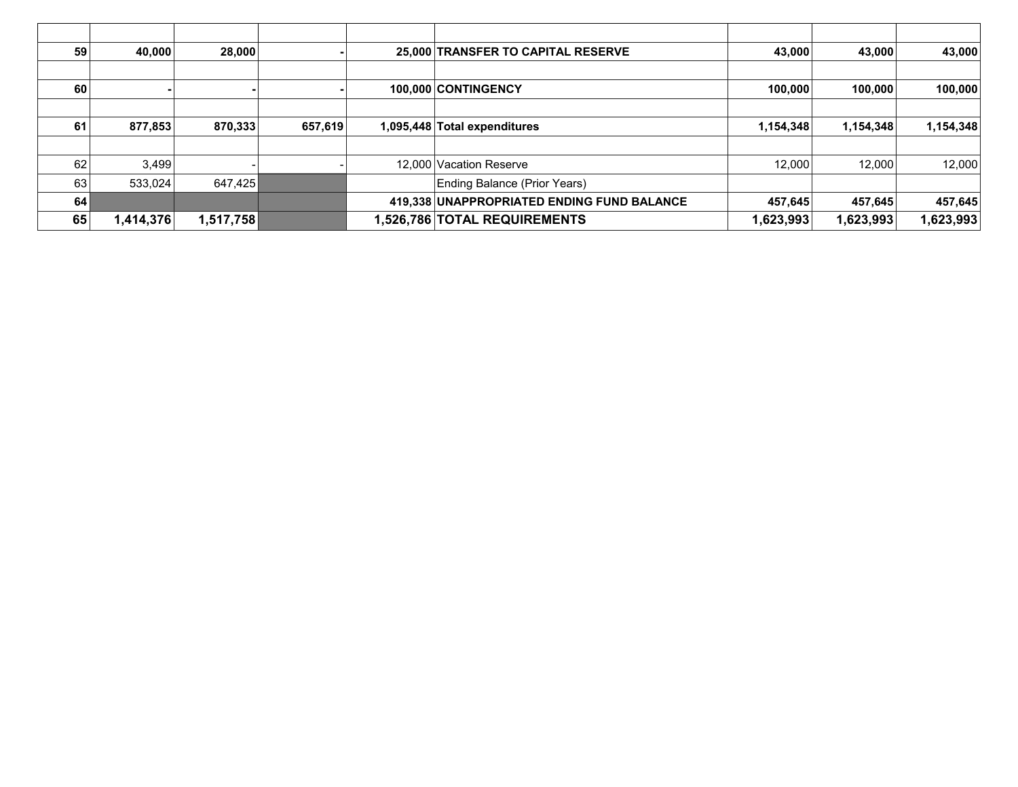| 59 | 40,000    | 28,000    |         | 25,000 TRANSFER TO CAPITAL RESERVE         | 43,000    | 43,000    | 43,000    |
|----|-----------|-----------|---------|--------------------------------------------|-----------|-----------|-----------|
|    |           |           |         |                                            |           |           |           |
| 60 |           |           |         | 100.000 CONTINGENCY                        | 100,000   | 100,000   | 100,000   |
|    |           |           |         |                                            |           |           |           |
| 61 | 877,853   | 870,333   | 657,619 | 1,095,448 Total expenditures               | 1,154,348 | 1,154,348 | 1,154,348 |
|    |           |           |         |                                            |           |           |           |
| 62 | 3,499     |           |         | 12,000 Vacation Reserve                    | 12.000    | 12,000    | 12,000    |
| 63 | 533,024   | 647,425   |         | Ending Balance (Prior Years)               |           |           |           |
| 64 |           |           |         | 419,338 UNAPPROPRIATED ENDING FUND BALANCE | 457,645   | 457,645   | 457,645   |
| 65 | 1,414,376 | 1,517,758 |         | <b>1,526,786 TOTAL REQUIREMENTS</b>        | 1,623,993 | 1,623,993 | 1,623,993 |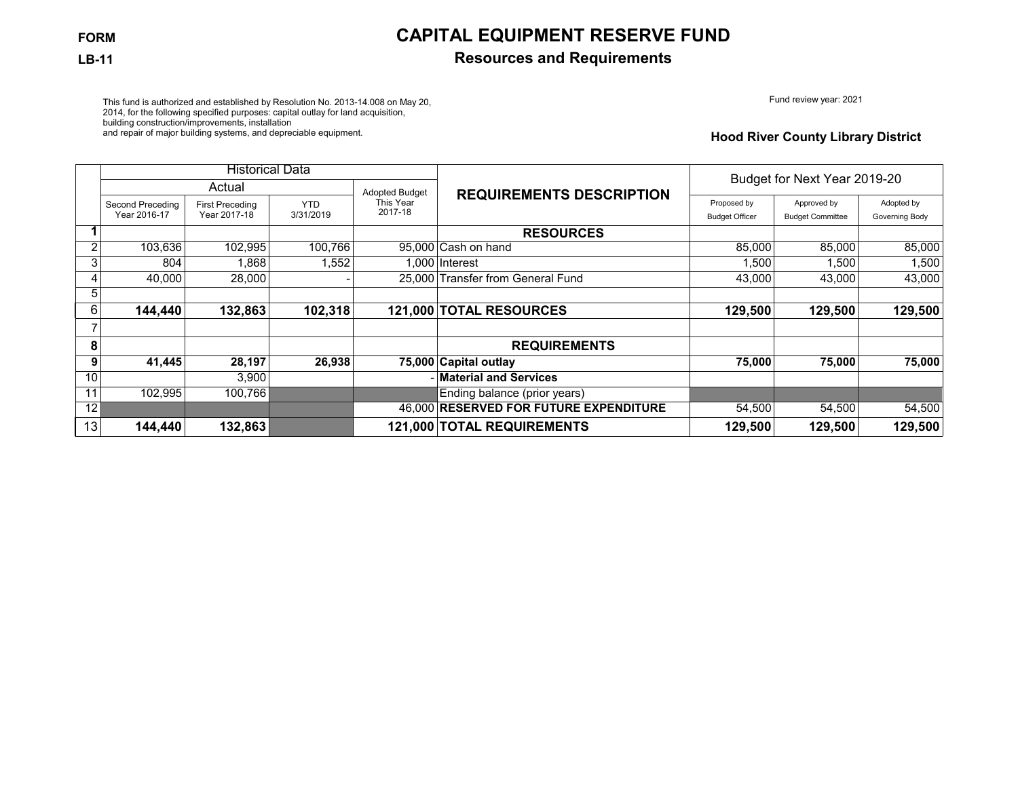## **FORM CAPITAL EQUIPMENT RESERVE FUND**

### **LB-11 Resources and Requirements**

Fund review year: 2021

This fund is authorized and established by Resolution No. 2013-14.008 on May 20, 2014, for the following specified purposes: capital outlay for land acquisition, building construction/improvements, installation and repair of major building systems, and depreciable equipment.

### **Hood River County Library District**

|    | <b>Historical Data</b> |                        |            |                |                                        | Budget for Next Year 2019-20 |                         |                |
|----|------------------------|------------------------|------------|----------------|----------------------------------------|------------------------------|-------------------------|----------------|
|    |                        | Actual                 |            | Adopted Budget | <b>REQUIREMENTS DESCRIPTION</b>        |                              |                         |                |
|    | Second Preceding       | <b>First Preceding</b> | <b>YTD</b> | This Year      |                                        | Proposed by                  | Approved by             | Adopted by     |
|    | Year 2016-17           | Year 2017-18           | 3/31/2019  | 2017-18        |                                        | <b>Budget Officer</b>        | <b>Budget Committee</b> | Governing Body |
|    |                        |                        |            |                | <b>RESOURCES</b>                       |                              |                         |                |
| 2  | 103,636                | 102,995                | 100,766    |                | 95,000 Cash on hand                    | 85,000                       | 85,000                  | 85,000         |
| 3  | 804                    | 1,868                  | ,552       |                | .000 Interest                          | 1,500                        | 1,500                   | 1,500          |
| 4  | 40.000                 | 28,000                 |            |                | 25,000 Transfer from General Fund      | 43,000                       | 43,000                  | 43,000         |
| 5  |                        |                        |            |                |                                        |                              |                         |                |
| 6  | 144,440                | 132,863                | 102,318    |                | 121,000 TOTAL RESOURCES                | 129,500                      | 129,500                 | 129,500        |
|    |                        |                        |            |                |                                        |                              |                         |                |
| 8  |                        |                        |            |                | <b>REQUIREMENTS</b>                    |                              |                         |                |
| 9  | 41,445                 | 28,197                 | 26,938     |                | 75,000 Capital outlay                  | 75,000                       | 75,000                  | 75,000         |
| 10 |                        | 3,900                  |            |                | - Material and Services                |                              |                         |                |
| 11 | 102.995                | 100,766                |            |                | Ending balance (prior years)           |                              |                         |                |
| 12 |                        |                        |            |                | 46.000 RESERVED FOR FUTURE EXPENDITURE | 54,500                       | 54,500                  | 54,500         |
| 13 | 144,440                | 132,863                |            |                | 121,000 TOTAL REQUIREMENTS             | 129,500                      | 129,500                 | 129,500        |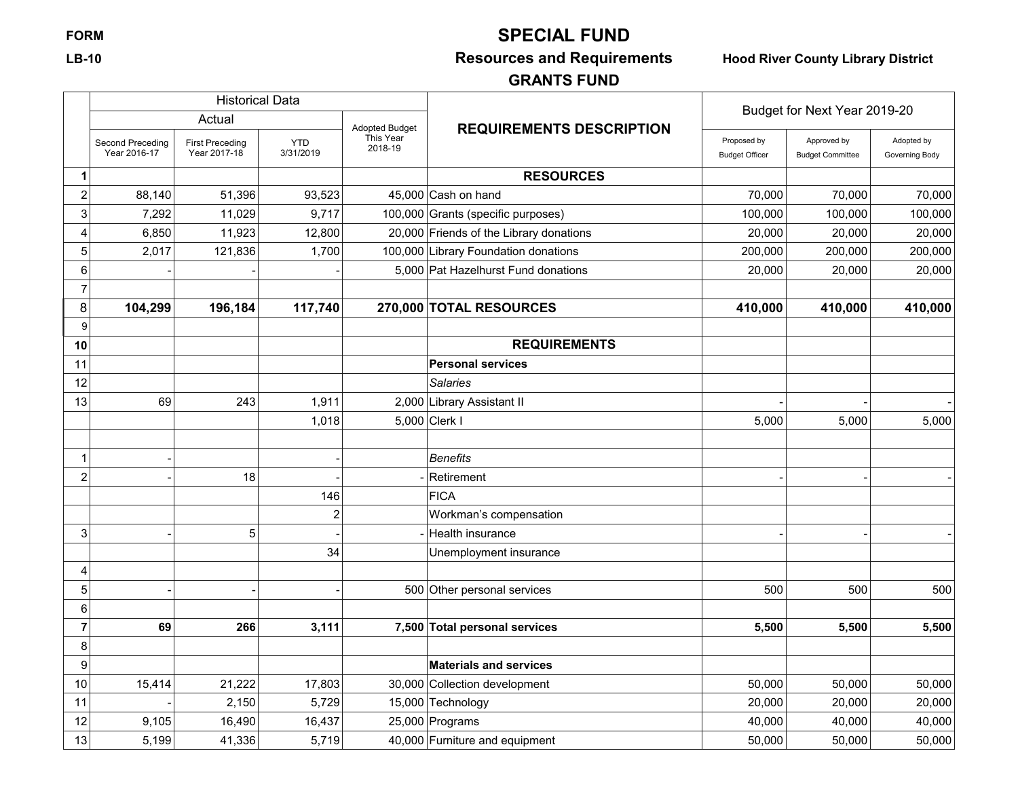# **FORM SPECIAL FUND**

## **LB-10 Resources and Requirements Hood River County Library District**

## **GRANTS FUND**

|                |                                  | <b>Historical Data</b>                 |                         |                       |                                         | Budget for Next Year 2019-20         |                                        |                              |
|----------------|----------------------------------|----------------------------------------|-------------------------|-----------------------|-----------------------------------------|--------------------------------------|----------------------------------------|------------------------------|
|                |                                  | Actual                                 |                         | <b>Adopted Budget</b> | <b>REQUIREMENTS DESCRIPTION</b>         |                                      |                                        |                              |
|                | Second Preceding<br>Year 2016-17 | <b>First Preceding</b><br>Year 2017-18 | <b>YTD</b><br>3/31/2019 | This Year<br>2018-19  |                                         | Proposed by<br><b>Budget Officer</b> | Approved by<br><b>Budget Committee</b> | Adopted by<br>Governing Body |
| 1              |                                  |                                        |                         |                       | <b>RESOURCES</b>                        |                                      |                                        |                              |
| $\overline{c}$ | 88,140                           | 51,396                                 | 93,523                  |                       | $45,000$ Cash on hand                   | 70,000                               | 70,000                                 | 70,000                       |
| 3              | 7,292                            | 11,029                                 | 9,717                   |                       | 100,000 Grants (specific purposes)      | 100,000                              | 100,000                                | 100,000                      |
| 4              | 6,850                            | 11,923                                 | 12,800                  |                       | 20,000 Friends of the Library donations | 20,000                               | 20,000                                 | 20,000                       |
| 5              | 2,017                            | 121,836                                | 1,700                   |                       | 100,000 Library Foundation donations    | 200,000                              | 200,000                                | 200,000                      |
| 6              |                                  |                                        |                         |                       | 5,000 Pat Hazelhurst Fund donations     | 20,000                               | 20,000                                 | 20,000                       |
| $\overline{7}$ |                                  |                                        |                         |                       |                                         |                                      |                                        |                              |
| 8              | 104,299                          | 196,184                                | 117,740                 |                       | 270,000 TOTAL RESOURCES                 | 410,000                              | 410,000                                | 410,000                      |
| 9              |                                  |                                        |                         |                       |                                         |                                      |                                        |                              |
| 10             |                                  |                                        |                         |                       | <b>REQUIREMENTS</b>                     |                                      |                                        |                              |
| 11             |                                  |                                        |                         |                       | <b>Personal services</b>                |                                      |                                        |                              |
| 12             |                                  |                                        |                         |                       | Salaries                                |                                      |                                        |                              |
| 13             | 69                               | 243                                    | 1,911                   |                       | 2,000 Library Assistant II              |                                      |                                        |                              |
|                |                                  |                                        | 1,018                   |                       | 5,000 Clerk I                           | 5,000                                | 5,000                                  | 5,000                        |
|                |                                  |                                        |                         |                       |                                         |                                      |                                        |                              |
| 1              |                                  |                                        |                         |                       | <b>Benefits</b>                         |                                      |                                        |                              |
| $\overline{c}$ |                                  | 18                                     |                         |                       | Retirement                              |                                      |                                        |                              |
|                |                                  |                                        | 146                     |                       | <b>FICA</b>                             |                                      |                                        |                              |
|                |                                  |                                        | $\overline{c}$          |                       | Workman's compensation                  |                                      |                                        |                              |
| 3              |                                  | 5                                      |                         |                       | Health insurance                        |                                      |                                        |                              |
|                |                                  |                                        | 34                      |                       | Unemployment insurance                  |                                      |                                        |                              |
| 4              |                                  |                                        |                         |                       |                                         |                                      |                                        |                              |
| 5              |                                  |                                        |                         |                       | 500 Other personal services             | 500                                  | 500                                    | 500                          |
| 6              |                                  |                                        |                         |                       |                                         |                                      |                                        |                              |
| $\overline{7}$ | 69                               | 266                                    | 3,111                   |                       | 7,500 Total personal services           | 5,500                                | 5,500                                  | 5,500                        |
| 8              |                                  |                                        |                         |                       |                                         |                                      |                                        |                              |
| 9              |                                  |                                        |                         |                       | <b>Materials and services</b>           |                                      |                                        |                              |
| 10             | 15,414                           | 21,222                                 | 17,803                  |                       | 30,000 Collection development           | 50,000                               | 50,000                                 | 50,000                       |
| 11             |                                  | 2,150                                  | 5,729                   |                       | 15,000 Technology                       | 20,000                               | 20,000                                 | 20,000                       |
| 12             | 9,105                            | 16,490                                 | 16,437                  |                       | 25,000 Programs                         | 40,000                               | 40,000                                 | 40,000                       |
| 13             | 5,199                            | 41,336                                 | 5,719                   |                       | 40,000 Furniture and equipment          | 50,000                               | 50,000                                 | 50,000                       |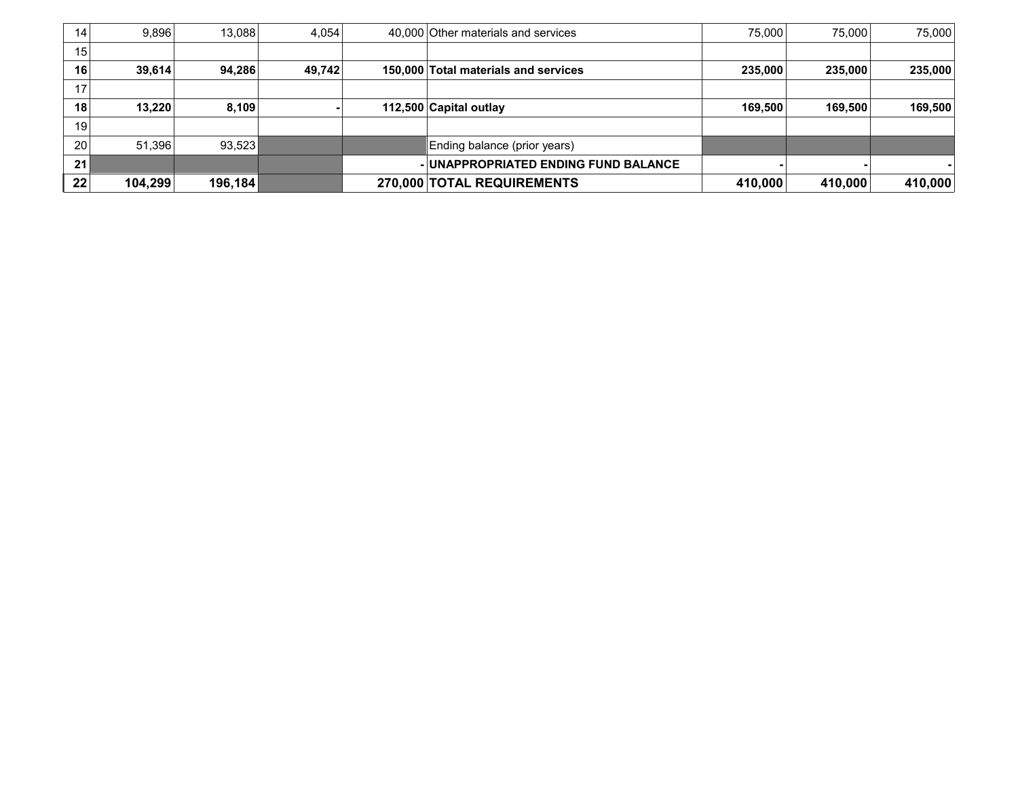| 14 | 9.896   | 13.088  | 4.054  | 40,000 Other materials and services  | 75.000  | 75.000  | 75,000  |
|----|---------|---------|--------|--------------------------------------|---------|---------|---------|
| 15 |         |         |        |                                      |         |         |         |
| 16 | 39,614  | 94,286  | 49,742 | 150,000 Total materials and services | 235,000 | 235,000 | 235,000 |
| 17 |         |         |        |                                      |         |         |         |
| 18 | 13.220  | 8,109   |        | 112,500 Capital outlay               | 169.500 | 169,500 | 169,500 |
| 19 |         |         |        |                                      |         |         |         |
| 20 | 51,396  | 93,523  |        | Ending balance (prior years)         |         |         |         |
| 21 |         |         |        | - UNAPPROPRIATED ENDING FUND BALANCE |         |         |         |
| 22 | 104,299 | 196,184 |        | 270,000 TOTAL REQUIREMENTS           | 410,000 | 410,000 | 410,000 |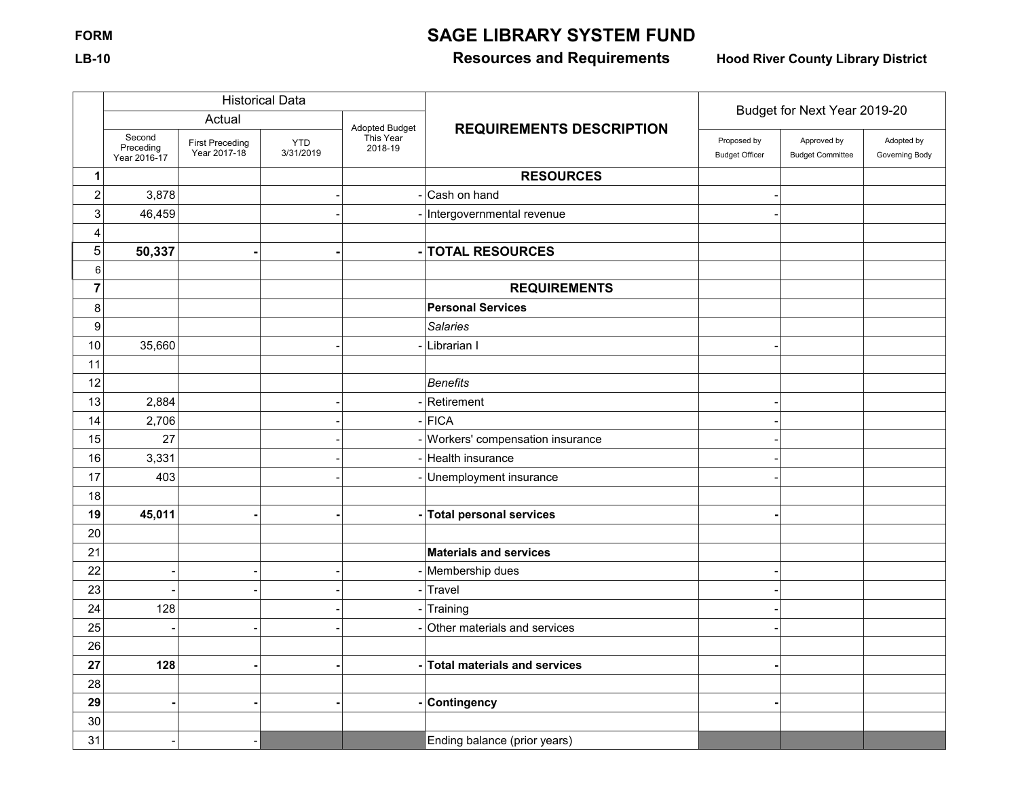# **FORM SAGE LIBRARY SYSTEM FUND**

## **LB-10 Resources and Requirements Hood River County Library District**

|                           |                                     |                                        | <b>Historical Data</b>  |                      |                                     | Budget for Next Year 2019-20         |                                        |                              |  |
|---------------------------|-------------------------------------|----------------------------------------|-------------------------|----------------------|-------------------------------------|--------------------------------------|----------------------------------------|------------------------------|--|
|                           |                                     | Actual                                 |                         | Adopted Budget       | <b>REQUIREMENTS DESCRIPTION</b>     |                                      |                                        |                              |  |
|                           | Second<br>Preceding<br>Year 2016-17 | <b>First Preceding</b><br>Year 2017-18 | <b>YTD</b><br>3/31/2019 | This Year<br>2018-19 |                                     | Proposed by<br><b>Budget Officer</b> | Approved by<br><b>Budget Committee</b> | Adopted by<br>Governing Body |  |
| $\mathbf{1}$              |                                     |                                        |                         |                      | <b>RESOURCES</b>                    |                                      |                                        |                              |  |
| $\boldsymbol{2}$          | 3,878                               |                                        |                         |                      | Cash on hand                        |                                      |                                        |                              |  |
| $\ensuremath{\mathsf{3}}$ | 46,459                              |                                        |                         |                      | - Intergovernmental revenue         |                                      |                                        |                              |  |
| 4                         |                                     |                                        |                         |                      |                                     |                                      |                                        |                              |  |
| $\overline{5}$            | 50,337                              |                                        |                         |                      | <b>TOTAL RESOURCES</b>              |                                      |                                        |                              |  |
| 6                         |                                     |                                        |                         |                      |                                     |                                      |                                        |                              |  |
| $\overline{7}$            |                                     |                                        |                         |                      | <b>REQUIREMENTS</b>                 |                                      |                                        |                              |  |
| 8                         |                                     |                                        |                         |                      | <b>Personal Services</b>            |                                      |                                        |                              |  |
| $\boldsymbol{9}$          |                                     |                                        |                         |                      | <b>Salaries</b>                     |                                      |                                        |                              |  |
| 10                        | 35,660                              |                                        |                         |                      | Librarian I                         |                                      |                                        |                              |  |
| 11                        |                                     |                                        |                         |                      |                                     |                                      |                                        |                              |  |
| 12                        |                                     |                                        |                         |                      | <b>Benefits</b>                     |                                      |                                        |                              |  |
| 13                        | 2,884                               |                                        |                         |                      | Retirement                          |                                      |                                        |                              |  |
| 14                        | 2,706                               |                                        |                         |                      | FICA                                |                                      |                                        |                              |  |
| 15                        | 27                                  |                                        |                         |                      | Workers' compensation insurance     |                                      |                                        |                              |  |
| 16                        | 3,331                               |                                        |                         |                      | Health insurance                    |                                      |                                        |                              |  |
| 17                        | 403                                 |                                        |                         |                      | Unemployment insurance              |                                      |                                        |                              |  |
| 18                        |                                     |                                        |                         |                      |                                     |                                      |                                        |                              |  |
| 19                        | 45,011                              |                                        |                         |                      | <b>Total personal services</b>      |                                      |                                        |                              |  |
| 20                        |                                     |                                        |                         |                      |                                     |                                      |                                        |                              |  |
| 21                        |                                     |                                        |                         |                      | <b>Materials and services</b>       |                                      |                                        |                              |  |
| 22                        |                                     |                                        |                         |                      | Membership dues                     |                                      |                                        |                              |  |
| 23                        |                                     |                                        |                         |                      | Travel                              |                                      |                                        |                              |  |
| 24                        | 128                                 |                                        |                         |                      | Training                            |                                      |                                        |                              |  |
| 25                        |                                     |                                        |                         |                      | Other materials and services        |                                      |                                        |                              |  |
| 26                        |                                     |                                        |                         |                      |                                     |                                      |                                        |                              |  |
| 27                        | 128                                 |                                        |                         |                      | <b>Total materials and services</b> |                                      |                                        |                              |  |
| 28                        |                                     |                                        |                         |                      |                                     |                                      |                                        |                              |  |
| 29                        |                                     |                                        |                         |                      | <b>Contingency</b>                  |                                      |                                        |                              |  |
| 30                        |                                     |                                        |                         |                      |                                     |                                      |                                        |                              |  |
| 31                        |                                     |                                        |                         |                      | Ending balance (prior years)        |                                      |                                        |                              |  |